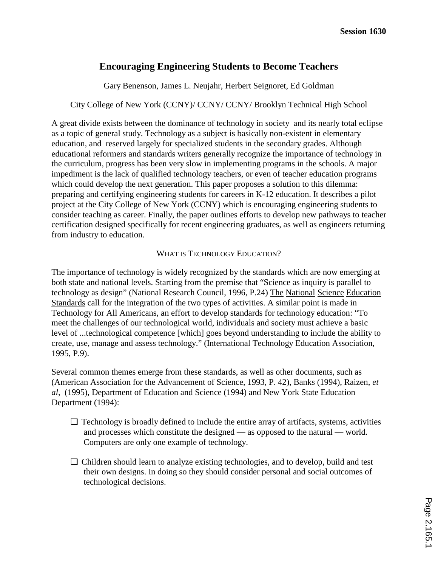# **Encouraging Engineering Students to Become Teachers**

Gary Benenson, James L. Neujahr, Herbert Seignoret, Ed Goldman

## City College of New York (CCNY)/ CCNY/ CCNY/ Brooklyn Technical High School

A great divide exists between the dominance of technology in society and its nearly total eclipse as a topic of general study. Technology as a subject is basically non-existent in elementary education, and reserved largely for specialized students in the secondary grades. Although educational reformers and standards writers generally recognize the importance of technology in the curriculum, progress has been very slow in implementing programs in the schools. A major impediment is the lack of qualified technology teachers, or even of teacher education programs which could develop the next generation. This paper proposes a solution to this dilemma: preparing and certifying engineering students for careers in K-12 education. It describes a pilot project at the City College of New York (CCNY) which is encouraging engineering students to consider teaching as career. Finally, the paper outlines efforts to develop new pathways to teacher certification designed specifically for recent engineering graduates, as well as engineers returning from industry to education.

## WHAT IS TECHNOLOGY EDUCATION?

The importance of technology is widely recognized by the standards which are now emerging at both state and national levels. Starting from the premise that "Science as inquiry is parallel to technology as design" (National Research Council, 1996, P.24) The National Science Education Standards call for the integration of the two types of activities. A similar point is made in Technology for All Americans, an effort to develop standards for technology education: "To meet the challenges of our technological world, individuals and society must achieve a basic level of ...technological competence [which] goes beyond understanding to include the ability to create, use, manage and assess technology." (International Technology Education Association, 1995, P.9).

Several common themes emerge from these standards, as well as other documents, such as (American Association for the Advancement of Science, 1993, P. 42), Banks (1994), Raizen, *et al,* (1995), Department of Education and Science (1994) and New York State Education Department (1994):

- ❏ Technology is broadly defined to include the entire array of artifacts, systems, activities and processes which constitute the designed — as opposed to the natural — world. Computers are only one example of technology.
- ❏ Children should learn to analyze existing technologies, and to develop, build and test their own designs. In doing so they should consider personal and social outcomes of technological decisions.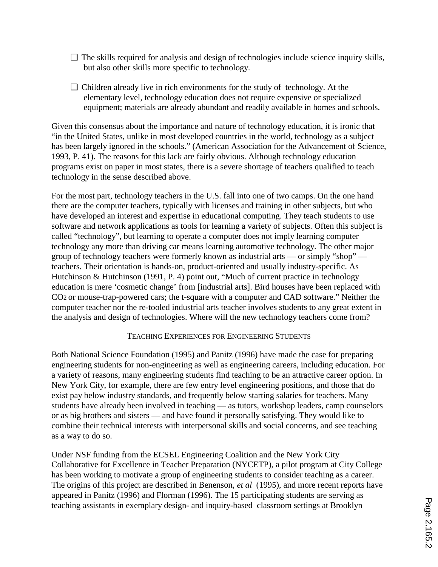- ❏ The skills required for analysis and design of technologies include science inquiry skills, but also other skills more specific to technology.
- ❏ Children already live in rich environments for the study of technology. At the elementary level, technology education does not require expensive or specialized equipment; materials are already abundant and readily available in homes and schools.

Given this consensus about the importance and nature of technology education, it is ironic that "in the United States, unlike in most developed countries in the world, technology as a subject has been largely ignored in the schools." (American Association for the Advancement of Science, 1993, P. 41). The reasons for this lack are fairly obvious. Although technology education programs exist on paper in most states, there is a severe shortage of teachers qualified to teach technology in the sense described above.

For the most part, technology teachers in the U.S. fall into one of two camps. On the one hand there are the computer teachers, typically with licenses and training in other subjects, but who have developed an interest and expertise in educational computing. They teach students to use software and network applications as tools for learning a variety of subjects. Often this subject is called "technology", but learning to operate a computer does not imply learning computer technology any more than driving car means learning automotive technology. The other major group of technology teachers were formerly known as industrial arts — or simply "shop" teachers. Their orientation is hands-on, product-oriented and usually industry-specific. As Hutchinson & Hutchinson (1991, P. 4) point out, "Much of current practice in technology education is mere 'cosmetic change' from [industrial arts]. Bird houses have been replaced with CO2 or mouse-trap-powered cars; the t-square with a computer and CAD software." Neither the computer teacher nor the re-tooled industrial arts teacher involves students to any great extent in the analysis and design of technologies. Where will the new technology teachers come from?

## TEACHING EXPERIENCES FOR ENGINEERING STUDENTS

Both National Science Foundation (1995) and Panitz (1996) have made the case for preparing engineering students for non-engineering as well as engineering careers, including education. For a variety of reasons, many engineering students find teaching to be an attractive career option. In New York City, for example, there are few entry level engineering positions, and those that do exist pay below industry standards, and frequently below starting salaries for teachers. Many students have already been involved in teaching — as tutors, workshop leaders, camp counselors or as big brothers and sisters — and have found it personally satisfying. They would like to combine their technical interests with interpersonal skills and social concerns, and see teaching as a way to do so.

Under NSF funding from the ECSEL Engineering Coalition and the New York City Collaborative for Excellence in Teacher Preparation (NYCETP), a pilot program at City College has been working to motivate a group of engineering students to consider teaching as a career. The origins of this project are described in Benenson, *et al* (1995), and more recent reports have appeared in Panitz (1996) and Florman (1996). The 15 participating students are serving as teaching assistants in exemplary design- and inquiry-based classroom settings at Brooklyn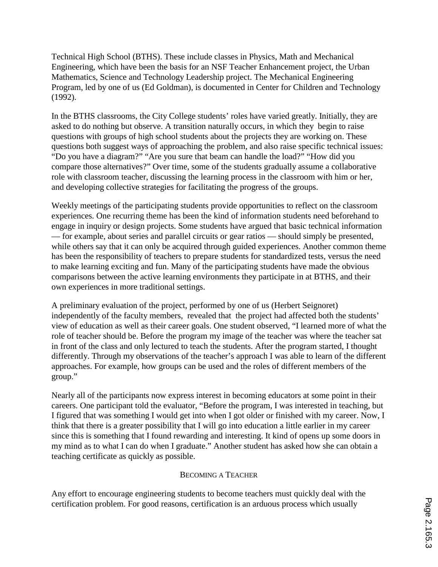Technical High School (BTHS). These include classes in Physics, Math and Mechanical Engineering, which have been the basis for an NSF Teacher Enhancement project, the Urban Mathematics, Science and Technology Leadership project. The Mechanical Engineering Program, led by one of us (Ed Goldman), is documented in Center for Children and Technology (1992).

In the BTHS classrooms, the City College students' roles have varied greatly. Initially, they are asked to do nothing but observe. A transition naturally occurs, in which they begin to raise questions with groups of high school students about the projects they are working on. These questions both suggest ways of approaching the problem, and also raise specific technical issues: "Do you have a diagram?" "Are you sure that beam can handle the load?" "How did you compare those alternatives?" Over time, some of the students gradually assume a collaborative role with classroom teacher, discussing the learning process in the classroom with him or her, and developing collective strategies for facilitating the progress of the groups.

Weekly meetings of the participating students provide opportunities to reflect on the classroom experiences. One recurring theme has been the kind of information students need beforehand to engage in inquiry or design projects. Some students have argued that basic technical information — for example, about series and parallel circuits or gear ratios — should simply be presented, while others say that it can only be acquired through guided experiences. Another common theme has been the responsibility of teachers to prepare students for standardized tests, versus the need to make learning exciting and fun. Many of the participating students have made the obvious comparisons between the active learning environments they participate in at BTHS, and their own experiences in more traditional settings.

A preliminary evaluation of the project, performed by one of us (Herbert Seignoret) independently of the faculty members, revealed that the project had affected both the students' view of education as well as their career goals. One student observed, "I learned more of what the role of teacher should be. Before the program my image of the teacher was where the teacher sat in front of the class and only lectured to teach the students. After the program started, I thought differently. Through my observations of the teacher's approach I was able to learn of the different approaches. For example, how groups can be used and the roles of different members of the group."

Nearly all of the participants now express interest in becoming educators at some point in their careers. One participant told the evaluator, "Before the program, I was interested in teaching, but I figured that was something I would get into when I got older or finished with my career. Now, I think that there is a greater possibility that I will go into education a little earlier in my career since this is something that I found rewarding and interesting. It kind of opens up some doors in my mind as to what I can do when I graduate." Another student has asked how she can obtain a teaching certificate as quickly as possible.

### BECOMING A TEACHER

Any effort to encourage engineering students to become teachers must quickly deal with the certification problem. For good reasons, certification is an arduous process which usually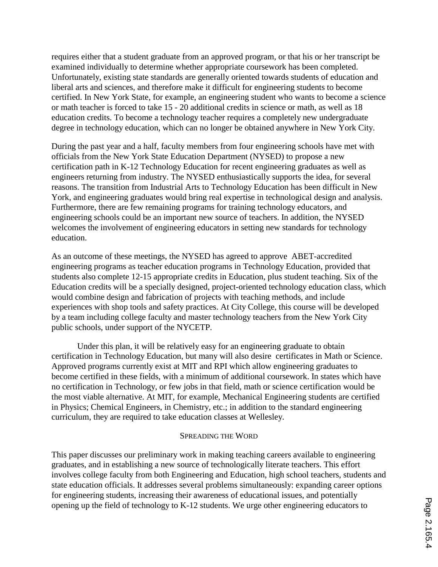requires either that a student graduate from an approved program, or that his or her transcript be examined individually to determine whether appropriate coursework has been completed. Unfortunately, existing state standards are generally oriented towards students of education and liberal arts and sciences, and therefore make it difficult for engineering students to become certified. In New York State, for example, an engineering student who wants to become a science or math teacher is forced to take 15 - 20 additional credits in science or math, as well as 18 education credits. To become a technology teacher requires a completely new undergraduate degree in technology education, which can no longer be obtained anywhere in New York City.

During the past year and a half, faculty members from four engineering schools have met with officials from the New York State Education Department (NYSED) to propose a new certification path in K-12 Technology Education for recent engineering graduates as well as engineers returning from industry. The NYSED enthusiastically supports the idea, for several reasons. The transition from Industrial Arts to Technology Education has been difficult in New York, and engineering graduates would bring real expertise in technological design and analysis. Furthermore, there are few remaining programs for training technology educators, and engineering schools could be an important new source of teachers. In addition, the NYSED welcomes the involvement of engineering educators in setting new standards for technology education.

As an outcome of these meetings, the NYSED has agreed to approve ABET-accredited engineering programs as teacher education programs in Technology Education, provided that students also complete 12-15 appropriate credits in Education, plus student teaching. Six of the Education credits will be a specially designed, project-oriented technology education class, which would combine design and fabrication of projects with teaching methods, and include experiences with shop tools and safety practices. At City College, this course will be developed by a team including college faculty and master technology teachers from the New York City public schools, under support of the NYCETP.

Under this plan, it will be relatively easy for an engineering graduate to obtain certification in Technology Education, but many will also desire certificates in Math or Science. Approved programs currently exist at MIT and RPI which allow engineering graduates to become certified in these fields, with a minimum of additional coursework. In states which have no certification in Technology, or few jobs in that field, math or science certification would be the most viable alternative. At MIT, for example, Mechanical Engineering students are certified in Physics; Chemical Engineers, in Chemistry, etc.; in addition to the standard engineering curriculum, they are required to take education classes at Wellesley.

### SPREADING THE WORD

This paper discusses our preliminary work in making teaching careers available to engineering graduates, and in establishing a new source of technologically literate teachers. This effort involves college faculty from both Engineering and Education, high school teachers, students and state education officials. It addresses several problems simultaneously: expanding career options for engineering students, increasing their awareness of educational issues, and potentially opening up the field of technology to K-12 students. We urge other engineering educators to